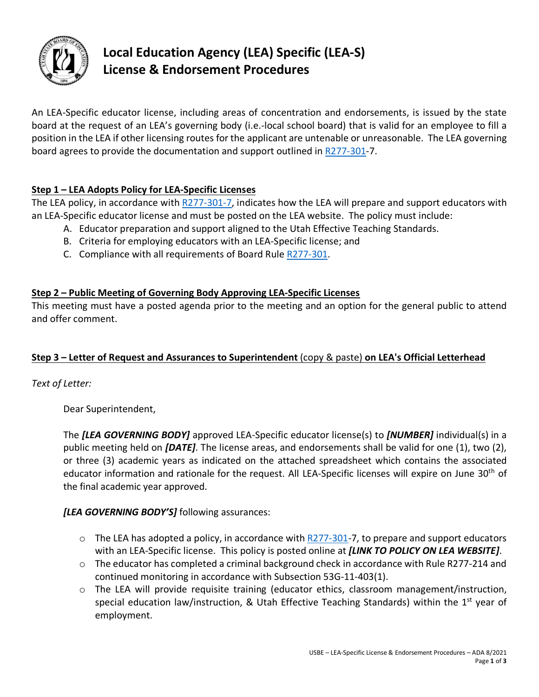

# **Local Education Agency (LEA) Specific (LEA-S) License & Endorsement Procedures**

An LEA-Specific educator license, including areas of concentration and endorsements, is issued by the state board at the request of an LEA's governing body (i.e.-local school board) that is valid for an employee to fill a position in the LEA if other licensing routes for the applicant are untenable or unreasonable. The LEA governing board agrees to provide the documentation and support outlined in [R277-301-](https://www.schools.utah.gov/file/0314a92f-36aa-4c07-9e7e-a6cc0a4b9330)7.

## **Step 1 – LEA Adopts Policy for LEA-Specific Licenses**

The LEA policy, in accordance with [R277-301-7,](https://www.schools.utah.gov/file/0314a92f-36aa-4c07-9e7e-a6cc0a4b9330) indicates how the LEA will prepare and support educators with an LEA-Specific educator license and must be posted on the LEA website. The policy must include:

- A. Educator preparation and support aligned to the Utah Effective Teaching Standards.
- B. Criteria for employing educators with an LEA-Specific license; and
- C. Compliance with all requirements of Board Rule [R277-301.](https://www.schools.utah.gov/file/0314a92f-36aa-4c07-9e7e-a6cc0a4b9330)

### **Step 2 – Public Meeting of Governing Body Approving LEA-Specific Licenses**

This meeting must have a posted agenda prior to the meeting and an option for the general public to attend and offer comment.

#### **Step 3 – Letter of Request and Assurances to Superintendent** (copy & paste) **on LEA's Official Letterhead**

*Text of Letter:* 

Dear Superintendent,

The *[LEA GOVERNING BODY]* approved LEA-Specific educator license(s) to *[NUMBER]* individual(s) in a public meeting held on *[DATE]*. The license areas, and endorsements shall be valid for one (1), two (2), or three (3) academic years as indicated on the attached spreadsheet which contains the associated educator information and rationale for the request. All LEA-Specific licenses will expire on June 30<sup>th</sup> of the final academic year approved.

#### *[LEA GOVERNING BODY'S]* following assurances:

- $\circ$  The LEA has adopted a policy, in accordance with [R277-301-](https://www.schools.utah.gov/file/0314a92f-36aa-4c07-9e7e-a6cc0a4b9330)7, to prepare and support educators with an LEA-Specific license. This policy is posted online at *[LINK TO POLICY ON LEA WEBSITE]*.
- $\circ$  The educator has completed a criminal background check in accordance with Rule R277-214 and continued monitoring in accordance with Subsection 53G-11-403(1).
- $\circ$  The LEA will provide requisite training (educator ethics, classroom management/instruction, special education law/instruction, & Utah Effective Teaching Standards) within the  $1<sup>st</sup>$  year of employment.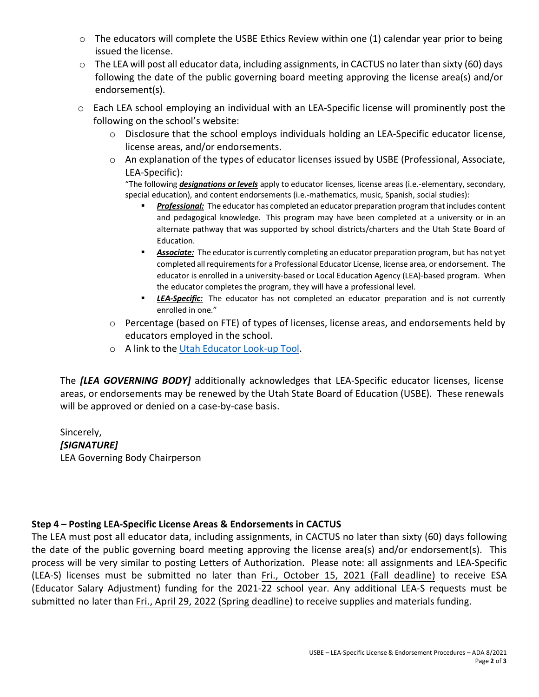- o The educators will complete the USBE Ethics Review within one (1) calendar year prior to being issued the license.
- $\circ$  The LEA will post all educator data, including assignments, in CACTUS no later than sixty (60) days following the date of the public governing board meeting approving the license area(s) and/or endorsement(s).
- o Each LEA school employing an individual with an LEA-Specific license will prominently post the [following on the school's website](https://usbe.midaseducation.com/professional-development/courses/course/59403):
	- $\circ$  Disclosure that the school employs individuals holding an LEA-Specific educator license, license areas, and/or endorsements.
	- o An explanation of the types of educator licenses issued by USBE (Professional, Associate, LEA-Specific):

"The following *designations or levels* apply to educator licenses, license areas (i.e.-elementary, secondary, special education), and content endorsements (i.e.-mathematics, music, Spanish, social studies):

- *Professional:* The educator has completed an educator preparation program that includes content and pedagogical knowledge. This program may have been completed at a university or in an alternate pathway that was supported by school districts/charters and the Utah State Board of Education.
- **Associate:** The educator is currently completing an educator preparation program, but has not yet completed all requirements for a Professional Educator License, license area, or endorsement. The educator is enrolled in a university-based or Local Education Agency (LEA)-based program. When the educator completes the program, they will have a professional level.
- **ELA-Specific:** The educator has not completed an educator preparation and is not currently enrolled in one."
- o Percentage (based on FTE) of types of licenses, license areas, and endorsements held by educators employed in the school.
- o A link to the [Utah Educator Look-up Tool.](https://cactus.schools.utah.gov/PersonSearch)

The *[LEA GOVERNING BODY]* additionally acknowledges that LEA-Specific educator licenses, license areas, or endorsements may be renewed by the Utah State Board of Education (USBE). These renewals will be approved or denied on a case-by-case basis.

Sincerely, *[SIGNATURE]*  LEA Governing Body Chairperson

#### **Step 4 – Posting LEA-Specific License Areas & Endorsements in CACTUS**

The LEA must post all educator data, including assignments, in CACTUS no later than sixty (60) days following the date of the public governing board meeting approving the license area(s) and/or endorsement(s). This process will be very similar to posting Letters of Authorization. Please note: all assignments and LEA-Specific (LEA-S) licenses must be submitted no later than Fri., October 15, 2021 (Fall deadline) to receive ESA (Educator Salary Adjustment) funding for the 2021-22 school year. Any additional LEA-S requests must be submitted no later than Fri., April 29, 2022 (Spring deadline) to receive supplies and materials funding.